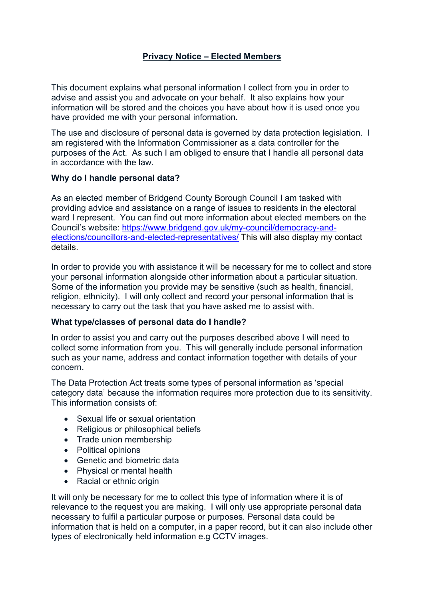# **Privacy Notice – Elected Members**

This document explains what personal information I collect from you in order to advise and assist you and advocate on your behalf. It also explains how your information will be stored and the choices you have about how it is used once you have provided me with your personal information.

The use and disclosure of personal data is governed by data protection legislation. I am registered with the Information Commissioner as a data controller for the purposes of the Act. As such I am obliged to ensure that I handle all personal data in accordance with the law.

## **Why do I handle personal data?**

As an elected member of Bridgend County Borough Council I am tasked with providing advice and assistance on a range of issues to residents in the electoral ward I represent. You can find out more information about elected members on the Council's website: [https://www.bridgend.gov.uk/my-council/democracy-and](https://www.bridgend.gov.uk/my-council/democracy-and-elections/councillors-and-elected-representatives/)[elections/councillors-and-elected-representatives/](https://www.bridgend.gov.uk/my-council/democracy-and-elections/councillors-and-elected-representatives/) This will also display my contact details.

In order to provide you with assistance it will be necessary for me to collect and store your personal information alongside other information about a particular situation. Some of the information you provide may be sensitive (such as health, financial, religion, ethnicity). I will only collect and record your personal information that is necessary to carry out the task that you have asked me to assist with.

# **What type/classes of personal data do I handle?**

In order to assist you and carry out the purposes described above I will need to collect some information from you. This will generally include personal information such as your name, address and contact information together with details of your concern.

The Data Protection Act treats some types of personal information as 'special category data' because the information requires more protection due to its sensitivity. This information consists of:

- Sexual life or sexual orientation
- Religious or philosophical beliefs
- Trade union membership
- Political opinions
- Genetic and biometric data
- Physical or mental health
- Racial or ethnic origin

It will only be necessary for me to collect this type of information where it is of relevance to the request you are making. I will only use appropriate personal data necessary to fulfil a particular purpose or purposes. Personal data could be information that is held on a computer, in a paper record, but it can also include other types of electronically held information e.g CCTV images.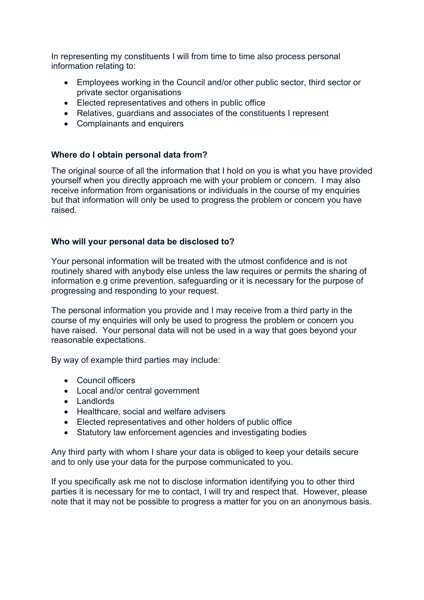In representing my constituents I will from time to time also process personal information relating to:

- Employees working in the Council and/or other public sector, third sector or private sector organisations
- Elected representatives and others in public office
- Relatives, guardians and associates of the constituents I represent
- Complainants and enquirers

#### **Where do I obtain personal data from?**

The original source of all the information that I hold on you is what you have provided yourself when you directly approach me with your problem or concern. I may also receive information from organisations or individuals in the course of my enquiries but that information will only be used to progress the problem or concern you have raised.

## **Who will your personal data be disclosed to?**

Your personal information will be treated with the utmost confidence and is not routinely shared with anybody else unless the law requires or permits the sharing of information e.g crime prevention, safeguarding or it is necessary for the purpose of progressing and responding to your request.

The personal information you provide and I may receive from a third party in the course of my enquiries will only be used to progress the problem or concern you have raised. Your personal data will not be used in a way that goes beyond your reasonable expectations.

By way of example third parties may include:

- Council officers
- Local and/or central government
- Landlords
- Healthcare, social and welfare advisers
- Elected representatives and other holders of public office
- Statutory law enforcement agencies and investigating bodies

Any third party with whom I share your data is obliged to keep your details secure and to only use your data for the purpose communicated to you.

If you specifically ask me not to disclose information identifying you to other third parties it is necessary for me to contact, I will try and respect that. However, please note that it may not be possible to progress a matter for you on an anonymous basis.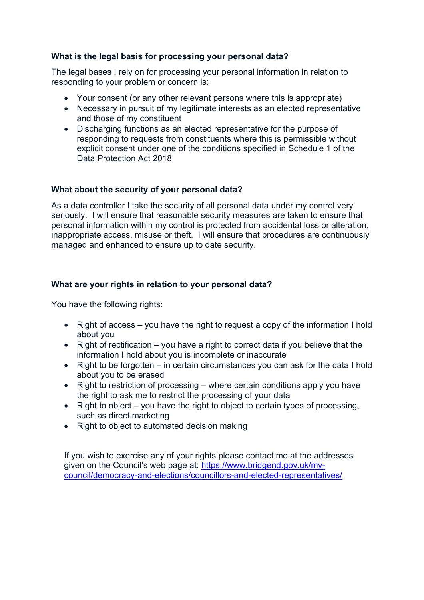# **What is the legal basis for processing your personal data?**

The legal bases I rely on for processing your personal information in relation to responding to your problem or concern is:

- Your consent (or any other relevant persons where this is appropriate)
- Necessary in pursuit of my legitimate interests as an elected representative and those of my constituent
- Discharging functions as an elected representative for the purpose of responding to requests from constituents where this is permissible without explicit consent under one of the conditions specified in Schedule 1 of the Data Protection Act 2018

## **What about the security of your personal data?**

As a data controller I take the security of all personal data under my control very seriously. I will ensure that reasonable security measures are taken to ensure that personal information within my control is protected from accidental loss or alteration, inappropriate access, misuse or theft. I will ensure that procedures are continuously managed and enhanced to ensure up to date security.

## **What are your rights in relation to your personal data?**

You have the following rights:

- Right of access you have the right to request a copy of the information I hold about you
- Right of rectification  $-$  you have a right to correct data if you believe that the information I hold about you is incomplete or inaccurate
- Right to be forgotten in certain circumstances you can ask for the data I hold about you to be erased
- Right to restriction of processing where certain conditions apply you have the right to ask me to restrict the processing of your data
- Right to object you have the right to object to certain types of processing, such as direct marketing
- Right to object to automated decision making

If you wish to exercise any of your rights please contact me at the addresses given on the Council's web page at: [https://www.bridgend.gov.uk/my](https://www.bridgend.gov.uk/my-council/democracy-and-elections/councillors-and-elected-representatives/)[council/democracy-and-elections/councillors-and-elected-representatives/](https://www.bridgend.gov.uk/my-council/democracy-and-elections/councillors-and-elected-representatives/)